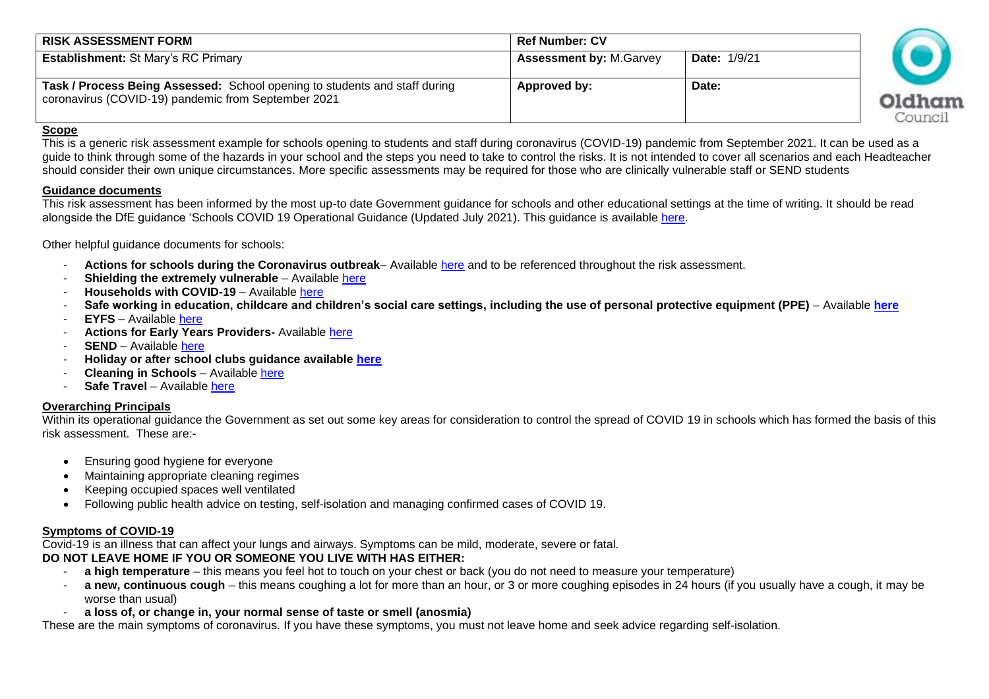| <b>RISK ASSESSMENT FORM</b>                                                                                                       | <b>Ref Number: CV</b>           |                     |                   |
|-----------------------------------------------------------------------------------------------------------------------------------|---------------------------------|---------------------|-------------------|
| <b>Establishment: St Mary's RC Primary</b>                                                                                        | <b>Assessment by: M. Garvey</b> | <b>Date: 1/9/21</b> |                   |
| Task / Process Being Assessed: School opening to students and staff during<br>coronavirus (COVID-19) pandemic from September 2021 | Approved by:                    | Date:               | Oldham<br>Counci' |

### **Scope**

This is a generic risk assessment example for schools opening to students and staff during coronavirus (COVID-19) pandemic from September 2021. It can be used as a guide to think through some of the hazards in your school and the steps you need to take to control the risks. It is not intended to cover all scenarios and each Headteacher should consider their own unique circumstances. More specific assessments may be required for those who are clinically vulnerable staff or SEND students

#### **Guidance documents**

This risk assessment has been informed by the most up-to date Government guidance for schools and other educational settings at the time of writing. It should be read alongside the DfE guidance 'Schools COVID 19 Operational Guidance (Updated July 2021). This guidance is available [here.](https://www.gov.uk/government/publications/actions-for-schools-during-the-coronavirus-outbreak/schools-covid-19-operational-guidance)

### Other helpful guidance documents for schools:

- **Actions for schools during the Coronavirus outbreak** Available [here](https://www.gov.uk/government/publications/actions-for-schools-during-the-coronavirus-outbreak/guidance-for-full-opening-schools) and to be referenced throughout the risk assessment.
- **Shielding the extremely vulnerable** Available here
- **Households with COVID-19** Available [here](https://www.gov.uk/government/publications/covid-19-stay-at-home-guidance)
- **Safe working in education, childcare and children's social care settings, including the use of personal protective equipment (PPE)** Available **[here](https://www.gov.uk/government/publications/safe-working-in-education-childcare-and-childrens-social-care/safe-working-in-education-childcare-and-childrens-social-care-settings-including-the-use-of-personal-protective-equipment-ppe)**
- **EYFS** Available [here](https://www.gov.uk/government/publications/early-years-foundation-stage-framework--2)
- **Actions for Early Years Providers-** Available [here](https://www.gov.uk/government/publications/coronavirus-covid-19-early-years-and-childcare-closures?priority-taxon=b350e61d-1db9-4cc2-bb44-fab02882ac25)
- **SEND** Available [here](https://www.gov.uk/government/publications/coronavirus-covid-19-send-risk-assessment-guidance/coronavirus-covid-19-send-risk-assessment-guidance)
- **Holiday or after school clubs guidance available [here](https://www.gov.uk/government/publications/protective-measures-for-holiday-or-after-school-clubs-and-other-out-of-school-settings-for-children-during-the-coronavirus-covid-19-outbreak)**
- **Cleaning in Schools** Available [here](https://www.gov.uk/government/publications/covid-19-decontamination-in-non-healthcare-settings)
- **Safe Travel** Available [here](https://www.gov.uk/guidance/coronavirus-covid-19-safer-travel-guidance-for-passengers)

## **Overarching Principals**

Within its operational guidance the Government as set out some key areas for consideration to control the spread of COVID 19 in schools which has formed the basis of this risk assessment. These are:-

- Ensuring good hygiene for everyone
- Maintaining appropriate cleaning regimes
- Keeping occupied spaces well ventilated
- Following public health advice on testing, self-isolation and managing confirmed cases of COVID 19.

# **Symptoms of COVID-19**

Covid-19 is an illness that can affect your lungs and airways. Symptoms can be mild, moderate, severe or fatal.

# **DO NOT LEAVE HOME IF YOU OR SOMEONE YOU LIVE WITH HAS EITHER:**

- **a high temperature** this means you feel hot to touch on your chest or back (you do not need to measure your temperature)
- a new, continuous cough this means coughing a lot for more than an hour, or 3 or more coughing episodes in 24 hours (if you usually have a cough, it may be worse than usual)
- **a loss of, or change in, your normal sense of taste or smell (anosmia)**

These are the main symptoms of coronavirus. If you have these symptoms, you must not leave home and seek advice regarding self-isolation.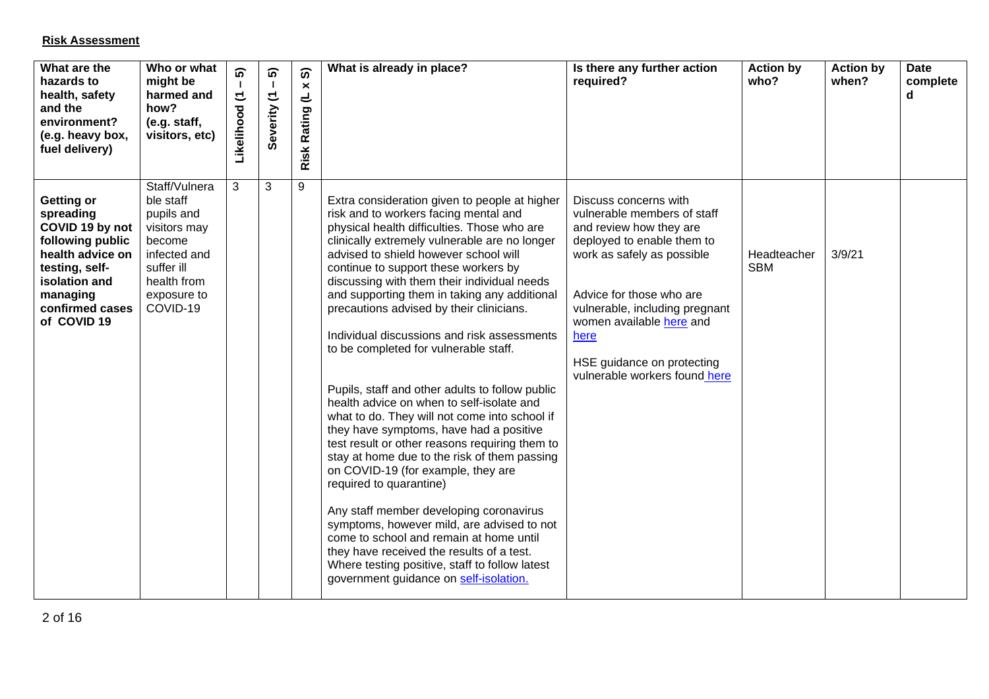## **Risk Assessment**

| What are the<br>hazards to<br>health, safety<br>and the<br>environment?<br>(e.g. heavy box,<br>fuel delivery)                                                       | Who or what<br>might be<br>harmed and<br>how?<br>(e.g. staff,<br>visitors, etc)                                                            | ົດ<br>$\mathbf{I}$<br>$\tilde{\phantom{a}}$<br>Likelihood | ົດ<br>$\mathbf{L}$<br>Severity (1 | ၈<br>$\boldsymbol{\times}$<br>$\overline{\phantom{a}}$<br>Rating<br>Risk | What is already in place?                                                                                                                                                                                                                                                                                                                                                                                                                                                                                                                                                                                                                                                                                                                                                                                                                                                                                                                                                                                                                                                                                                                              | Is there any further action<br>required?                                                                                                                                                                                                                                                                     | <b>Action by</b><br>who?  | <b>Action by</b><br>when? | <b>Date</b><br>complete<br>d |
|---------------------------------------------------------------------------------------------------------------------------------------------------------------------|--------------------------------------------------------------------------------------------------------------------------------------------|-----------------------------------------------------------|-----------------------------------|--------------------------------------------------------------------------|--------------------------------------------------------------------------------------------------------------------------------------------------------------------------------------------------------------------------------------------------------------------------------------------------------------------------------------------------------------------------------------------------------------------------------------------------------------------------------------------------------------------------------------------------------------------------------------------------------------------------------------------------------------------------------------------------------------------------------------------------------------------------------------------------------------------------------------------------------------------------------------------------------------------------------------------------------------------------------------------------------------------------------------------------------------------------------------------------------------------------------------------------------|--------------------------------------------------------------------------------------------------------------------------------------------------------------------------------------------------------------------------------------------------------------------------------------------------------------|---------------------------|---------------------------|------------------------------|
| Getting or<br>spreading<br>COVID 19 by not<br>following public<br>health advice on<br>testing, self-<br>isolation and<br>managing<br>confirmed cases<br>of COVID 19 | Staff/Vulnera<br>ble staff<br>pupils and<br>visitors may<br>become<br>infected and<br>suffer ill<br>health from<br>exposure to<br>COVID-19 | 3                                                         | 3                                 | 9                                                                        | Extra consideration given to people at higher<br>risk and to workers facing mental and<br>physical health difficulties. Those who are<br>clinically extremely vulnerable are no longer<br>advised to shield however school will<br>continue to support these workers by<br>discussing with them their individual needs<br>and supporting them in taking any additional<br>precautions advised by their clinicians.<br>Individual discussions and risk assessments<br>to be completed for vulnerable staff.<br>Pupils, staff and other adults to follow public<br>health advice on when to self-isolate and<br>what to do. They will not come into school if<br>they have symptoms, have had a positive<br>test result or other reasons requiring them to<br>stay at home due to the risk of them passing<br>on COVID-19 (for example, they are<br>required to quarantine)<br>Any staff member developing coronavirus<br>symptoms, however mild, are advised to not<br>come to school and remain at home until<br>they have received the results of a test.<br>Where testing positive, staff to follow latest<br>government guidance on self-isolation. | Discuss concerns with<br>vulnerable members of staff<br>and review how they are<br>deployed to enable them to<br>work as safely as possible<br>Advice for those who are<br>vulnerable, including pregnant<br>women available here and<br>here<br>HSE guidance on protecting<br>vulnerable workers found here | Headteacher<br><b>SBM</b> | 3/9/21                    |                              |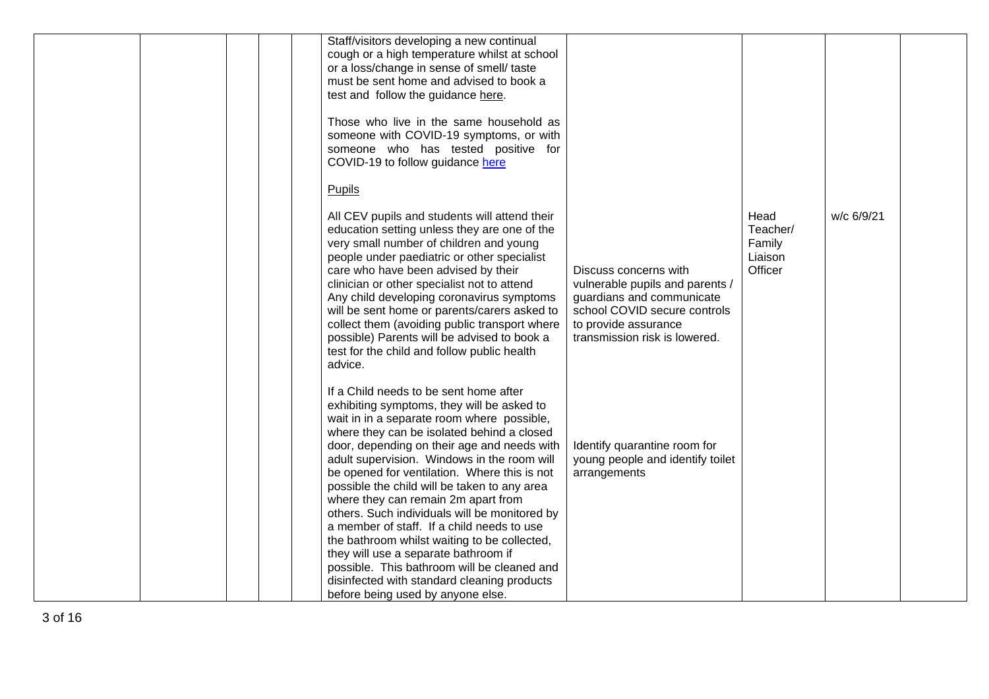|  |  | Staff/visitors developing a new continual<br>cough or a high temperature whilst at school<br>or a loss/change in sense of smell/ taste<br>must be sent home and advised to book a<br>test and follow the guidance here.<br>Those who live in the same household as<br>someone with COVID-19 symptoms, or with<br>someone who has tested positive for<br>COVID-19 to follow guidance here                                                                                                                                                                                                                                                                                                                                                        |                                                                                                                                                                                |                                                  |            |  |
|--|--|-------------------------------------------------------------------------------------------------------------------------------------------------------------------------------------------------------------------------------------------------------------------------------------------------------------------------------------------------------------------------------------------------------------------------------------------------------------------------------------------------------------------------------------------------------------------------------------------------------------------------------------------------------------------------------------------------------------------------------------------------|--------------------------------------------------------------------------------------------------------------------------------------------------------------------------------|--------------------------------------------------|------------|--|
|  |  | Pupils<br>All CEV pupils and students will attend their<br>education setting unless they are one of the<br>very small number of children and young<br>people under paediatric or other specialist<br>care who have been advised by their<br>clinician or other specialist not to attend<br>Any child developing coronavirus symptoms<br>will be sent home or parents/carers asked to<br>collect them (avoiding public transport where<br>possible) Parents will be advised to book a<br>test for the child and follow public health<br>advice.                                                                                                                                                                                                  | Discuss concerns with<br>vulnerable pupils and parents /<br>guardians and communicate<br>school COVID secure controls<br>to provide assurance<br>transmission risk is lowered. | Head<br>Teacher/<br>Family<br>Liaison<br>Officer | w/c 6/9/21 |  |
|  |  | If a Child needs to be sent home after<br>exhibiting symptoms, they will be asked to<br>wait in in a separate room where possible,<br>where they can be isolated behind a closed<br>door, depending on their age and needs with<br>adult supervision. Windows in the room will<br>be opened for ventilation. Where this is not<br>possible the child will be taken to any area<br>where they can remain 2m apart from<br>others. Such individuals will be monitored by<br>a member of staff. If a child needs to use<br>the bathroom whilst waiting to be collected,<br>they will use a separate bathroom if<br>possible. This bathroom will be cleaned and<br>disinfected with standard cleaning products<br>before being used by anyone else. | Identify quarantine room for<br>young people and identify toilet<br>arrangements                                                                                               |                                                  |            |  |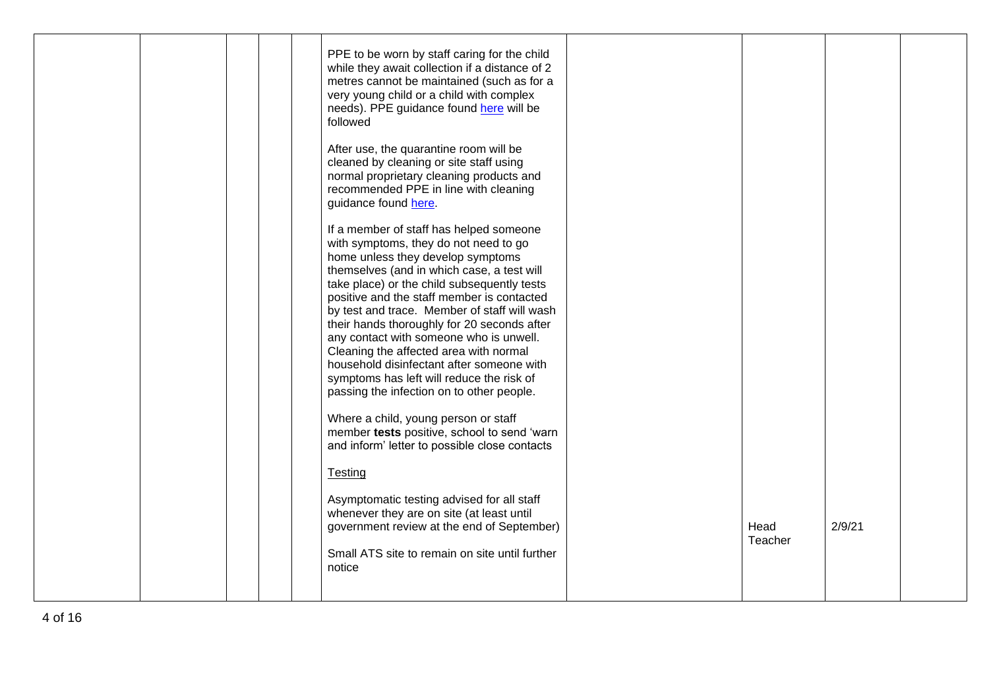|  |  | PPE to be worn by staff caring for the child<br>while they await collection if a distance of 2<br>metres cannot be maintained (such as for a<br>very young child or a child with complex<br>needs). PPE guidance found here will be<br>followed<br>After use, the quarantine room will be<br>cleaned by cleaning or site staff using<br>normal proprietary cleaning products and<br>recommended PPE in line with cleaning<br>guidance found here.<br>If a member of staff has helped someone<br>with symptoms, they do not need to go<br>home unless they develop symptoms<br>themselves (and in which case, a test will<br>take place) or the child subsequently tests<br>positive and the staff member is contacted<br>by test and trace. Member of staff will wash<br>their hands thoroughly for 20 seconds after<br>any contact with someone who is unwell.<br>Cleaning the affected area with normal<br>household disinfectant after someone with<br>symptoms has left will reduce the risk of<br>passing the infection on to other people.<br>Where a child, young person or staff<br>member tests positive, school to send 'warn<br>and inform' letter to possible close contacts<br>Testing |                 |        |  |
|--|--|-----------------------------------------------------------------------------------------------------------------------------------------------------------------------------------------------------------------------------------------------------------------------------------------------------------------------------------------------------------------------------------------------------------------------------------------------------------------------------------------------------------------------------------------------------------------------------------------------------------------------------------------------------------------------------------------------------------------------------------------------------------------------------------------------------------------------------------------------------------------------------------------------------------------------------------------------------------------------------------------------------------------------------------------------------------------------------------------------------------------------------------------------------------------------------------------------------|-----------------|--------|--|
|  |  | Asymptomatic testing advised for all staff<br>whenever they are on site (at least until<br>government review at the end of September)<br>Small ATS site to remain on site until further<br>notice                                                                                                                                                                                                                                                                                                                                                                                                                                                                                                                                                                                                                                                                                                                                                                                                                                                                                                                                                                                                   | Head<br>Teacher | 2/9/21 |  |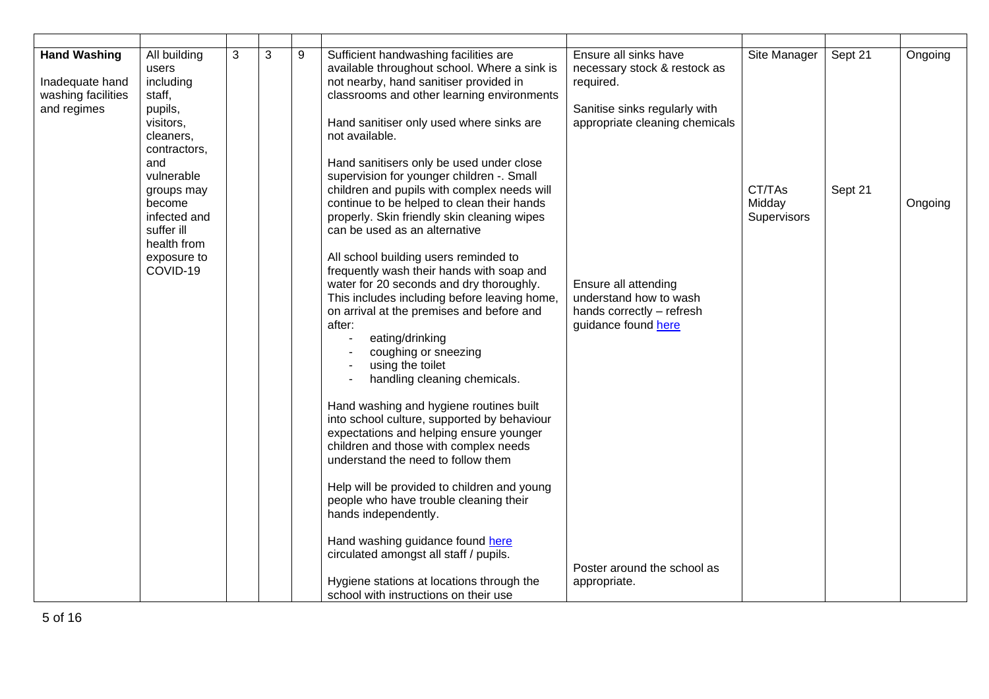| <b>Hand Washing</b><br>Inadequate hand<br>washing facilities<br>and regimes | All building<br>users<br>including<br>staff,<br>pupils,<br>visitors,<br>cleaners,                                                 | 3 | 3 | 9 | Sufficient handwashing facilities are<br>available throughout school. Where a sink is<br>not nearby, hand sanitiser provided in<br>classrooms and other learning environments<br>Hand sanitiser only used where sinks are<br>not available.                                                                                                                                                                                                                                                                                                                                                                          | Ensure all sinks have<br>necessary stock & restock as<br>required.<br>Sanitise sinks regularly with<br>appropriate cleaning chemicals | Site Manager                    | Sept 21 | Ongoing |
|-----------------------------------------------------------------------------|-----------------------------------------------------------------------------------------------------------------------------------|---|---|---|----------------------------------------------------------------------------------------------------------------------------------------------------------------------------------------------------------------------------------------------------------------------------------------------------------------------------------------------------------------------------------------------------------------------------------------------------------------------------------------------------------------------------------------------------------------------------------------------------------------------|---------------------------------------------------------------------------------------------------------------------------------------|---------------------------------|---------|---------|
|                                                                             | contractors,<br>and<br>vulnerable<br>groups may<br>become<br>infected and<br>suffer ill<br>health from<br>exposure to<br>COVID-19 |   |   |   | Hand sanitisers only be used under close<br>supervision for younger children -. Small<br>children and pupils with complex needs will<br>continue to be helped to clean their hands<br>properly. Skin friendly skin cleaning wipes<br>can be used as an alternative<br>All school building users reminded to<br>frequently wash their hands with soap and<br>water for 20 seconds and dry thoroughly.<br>This includes including before leaving home,<br>on arrival at the premises and before and<br>after:<br>eating/drinking<br>$\sim$<br>coughing or sneezing<br>using the toilet<br>handling cleaning chemicals. | Ensure all attending<br>understand how to wash<br>hands correctly - refresh<br>guidance found here                                    | CT/TAs<br>Midday<br>Supervisors | Sept 21 | Ongoing |
|                                                                             |                                                                                                                                   |   |   |   | Hand washing and hygiene routines built<br>into school culture, supported by behaviour<br>expectations and helping ensure younger<br>children and those with complex needs<br>understand the need to follow them<br>Help will be provided to children and young<br>people who have trouble cleaning their<br>hands independently.<br>Hand washing guidance found here<br>circulated amongst all staff / pupils.<br>Hygiene stations at locations through the<br>school with instructions on their use                                                                                                                | Poster around the school as<br>appropriate.                                                                                           |                                 |         |         |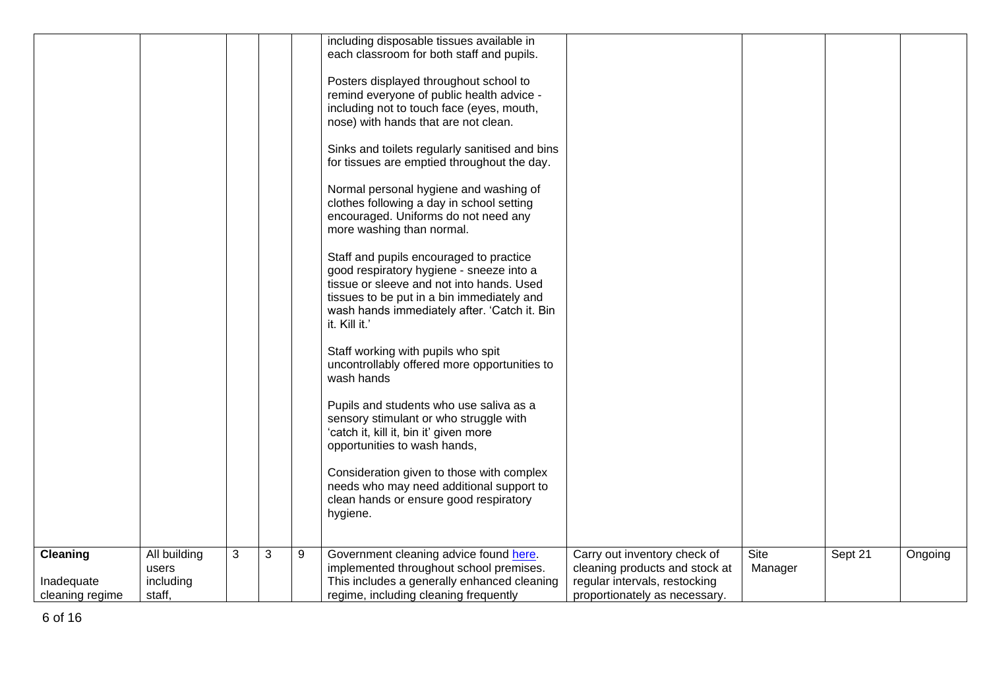|                 |              |   |   |   | including disposable tissues available in      |                                |         |         |         |
|-----------------|--------------|---|---|---|------------------------------------------------|--------------------------------|---------|---------|---------|
|                 |              |   |   |   | each classroom for both staff and pupils.      |                                |         |         |         |
|                 |              |   |   |   |                                                |                                |         |         |         |
|                 |              |   |   |   |                                                |                                |         |         |         |
|                 |              |   |   |   | Posters displayed throughout school to         |                                |         |         |         |
|                 |              |   |   |   | remind everyone of public health advice -      |                                |         |         |         |
|                 |              |   |   |   | including not to touch face (eyes, mouth,      |                                |         |         |         |
|                 |              |   |   |   | nose) with hands that are not clean.           |                                |         |         |         |
|                 |              |   |   |   | Sinks and toilets regularly sanitised and bins |                                |         |         |         |
|                 |              |   |   |   | for tissues are emptied throughout the day.    |                                |         |         |         |
|                 |              |   |   |   |                                                |                                |         |         |         |
|                 |              |   |   |   | Normal personal hygiene and washing of         |                                |         |         |         |
|                 |              |   |   |   | clothes following a day in school setting      |                                |         |         |         |
|                 |              |   |   |   | encouraged. Uniforms do not need any           |                                |         |         |         |
|                 |              |   |   |   | more washing than normal.                      |                                |         |         |         |
|                 |              |   |   |   |                                                |                                |         |         |         |
|                 |              |   |   |   | Staff and pupils encouraged to practice        |                                |         |         |         |
|                 |              |   |   |   | good respiratory hygiene - sneeze into a       |                                |         |         |         |
|                 |              |   |   |   | tissue or sleeve and not into hands. Used      |                                |         |         |         |
|                 |              |   |   |   | tissues to be put in a bin immediately and     |                                |         |         |         |
|                 |              |   |   |   | wash hands immediately after. 'Catch it. Bin   |                                |         |         |         |
|                 |              |   |   |   | it. Kill it.'                                  |                                |         |         |         |
|                 |              |   |   |   |                                                |                                |         |         |         |
|                 |              |   |   |   | Staff working with pupils who spit             |                                |         |         |         |
|                 |              |   |   |   | uncontrollably offered more opportunities to   |                                |         |         |         |
|                 |              |   |   |   | wash hands                                     |                                |         |         |         |
|                 |              |   |   |   |                                                |                                |         |         |         |
|                 |              |   |   |   | Pupils and students who use saliva as a        |                                |         |         |         |
|                 |              |   |   |   | sensory stimulant or who struggle with         |                                |         |         |         |
|                 |              |   |   |   | 'catch it, kill it, bin it' given more         |                                |         |         |         |
|                 |              |   |   |   | opportunities to wash hands,                   |                                |         |         |         |
|                 |              |   |   |   |                                                |                                |         |         |         |
|                 |              |   |   |   | Consideration given to those with complex      |                                |         |         |         |
|                 |              |   |   |   | needs who may need additional support to       |                                |         |         |         |
|                 |              |   |   |   | clean hands or ensure good respiratory         |                                |         |         |         |
|                 |              |   |   |   | hygiene.                                       |                                |         |         |         |
|                 |              |   |   |   |                                                |                                |         |         |         |
|                 |              |   |   |   |                                                |                                |         |         |         |
| Cleaning        | All building | 3 | 3 | 9 | Government cleaning advice found here.         | Carry out inventory check of   | Site    | Sept 21 | Ongoing |
|                 | users        |   |   |   | implemented throughout school premises.        | cleaning products and stock at | Manager |         |         |
| Inadequate      | including    |   |   |   | This includes a generally enhanced cleaning    | regular intervals, restocking  |         |         |         |
| cleaning regime | staff,       |   |   |   | regime, including cleaning frequently          | proportionately as necessary.  |         |         |         |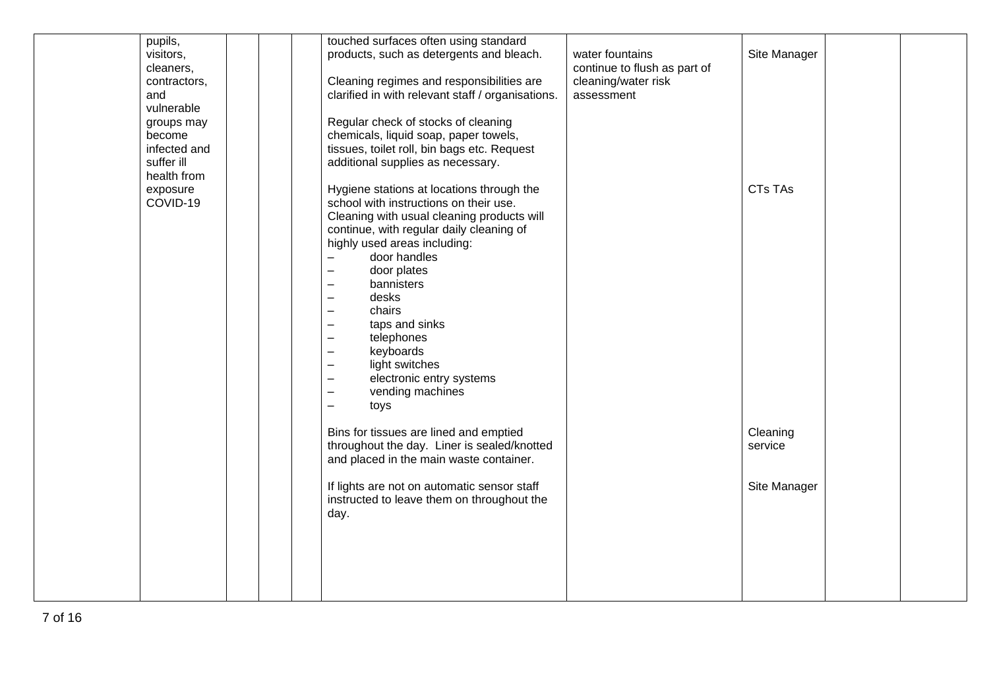| pupils,      |  | touched surfaces often using standard             |                              |                |  |
|--------------|--|---------------------------------------------------|------------------------------|----------------|--|
| visitors,    |  | products, such as detergents and bleach.          | water fountains              | Site Manager   |  |
| cleaners,    |  |                                                   | continue to flush as part of |                |  |
| contractors, |  | Cleaning regimes and responsibilities are         | cleaning/water risk          |                |  |
| and          |  | clarified in with relevant staff / organisations. | assessment                   |                |  |
| vulnerable   |  |                                                   |                              |                |  |
|              |  | Regular check of stocks of cleaning               |                              |                |  |
| groups may   |  |                                                   |                              |                |  |
| become       |  | chemicals, liquid soap, paper towels,             |                              |                |  |
| infected and |  | tissues, toilet roll, bin bags etc. Request       |                              |                |  |
| suffer ill   |  | additional supplies as necessary.                 |                              |                |  |
| health from  |  |                                                   |                              |                |  |
| exposure     |  | Hygiene stations at locations through the         |                              | <b>CTs TAs</b> |  |
| COVID-19     |  | school with instructions on their use.            |                              |                |  |
|              |  | Cleaning with usual cleaning products will        |                              |                |  |
|              |  | continue, with regular daily cleaning of          |                              |                |  |
|              |  | highly used areas including:                      |                              |                |  |
|              |  | door handles<br>$\qquad \qquad -$                 |                              |                |  |
|              |  | door plates<br>$\qquad \qquad -$                  |                              |                |  |
|              |  | bannisters<br>$\overline{\phantom{0}}$            |                              |                |  |
|              |  | desks<br>$\overline{\phantom{a}}$                 |                              |                |  |
|              |  | chairs<br>$\qquad \qquad -$                       |                              |                |  |
|              |  | taps and sinks<br>$\qquad \qquad -$               |                              |                |  |
|              |  | telephones<br>$\qquad \qquad -$                   |                              |                |  |
|              |  | keyboards<br>$\overline{\phantom{0}}$             |                              |                |  |
|              |  | light switches<br>$\overline{\phantom{a}}$        |                              |                |  |
|              |  | electronic entry systems<br>$\qquad \qquad -$     |                              |                |  |
|              |  | vending machines<br>$\equiv$                      |                              |                |  |
|              |  | toys<br>$\overline{\phantom{0}}$                  |                              |                |  |
|              |  |                                                   |                              |                |  |
|              |  | Bins for tissues are lined and emptied            |                              | Cleaning       |  |
|              |  | throughout the day. Liner is sealed/knotted       |                              | service        |  |
|              |  | and placed in the main waste container.           |                              |                |  |
|              |  |                                                   |                              |                |  |
|              |  | If lights are not on automatic sensor staff       |                              | Site Manager   |  |
|              |  |                                                   |                              |                |  |
|              |  | instructed to leave them on throughout the        |                              |                |  |
|              |  | day.                                              |                              |                |  |
|              |  |                                                   |                              |                |  |
|              |  |                                                   |                              |                |  |
|              |  |                                                   |                              |                |  |
|              |  |                                                   |                              |                |  |
|              |  |                                                   |                              |                |  |
|              |  |                                                   |                              |                |  |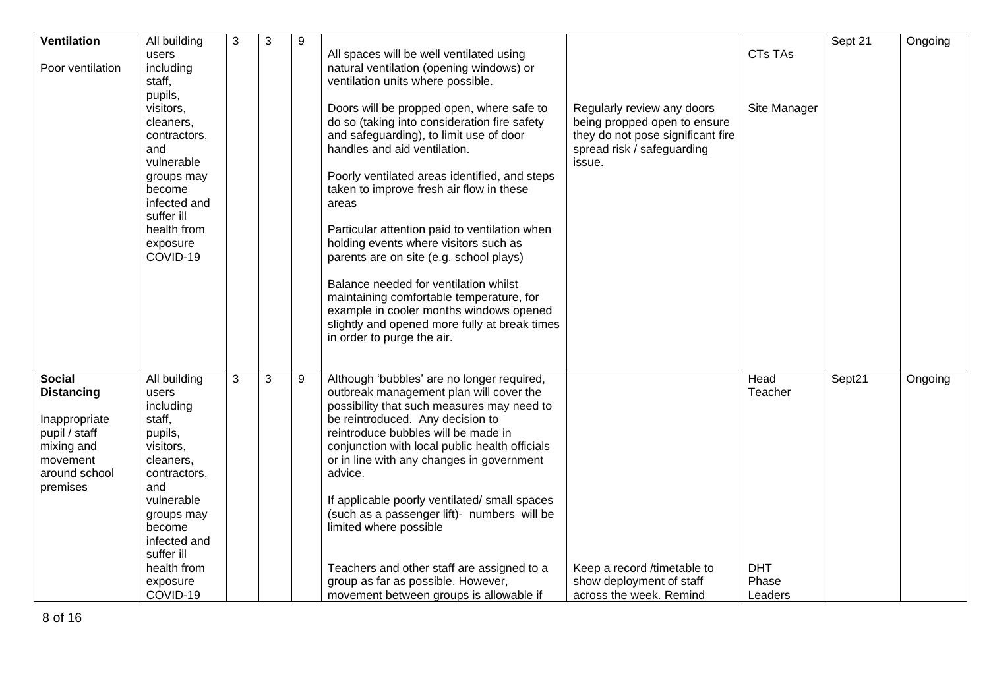| <b>Ventilation</b> | All building | 3 | 3 | 9 |                                                |                                   |                | Sept 21 | Ongoing |
|--------------------|--------------|---|---|---|------------------------------------------------|-----------------------------------|----------------|---------|---------|
|                    | users        |   |   |   | All spaces will be well ventilated using       |                                   | <b>CTs TAs</b> |         |         |
| Poor ventilation   | including    |   |   |   | natural ventilation (opening windows) or       |                                   |                |         |         |
|                    | staff,       |   |   |   | ventilation units where possible.              |                                   |                |         |         |
|                    | pupils,      |   |   |   |                                                |                                   |                |         |         |
|                    | visitors,    |   |   |   | Doors will be propped open, where safe to      | Regularly review any doors        | Site Manager   |         |         |
|                    |              |   |   |   | do so (taking into consideration fire safety   |                                   |                |         |         |
|                    | cleaners.    |   |   |   |                                                | being propped open to ensure      |                |         |         |
|                    | contractors, |   |   |   | and safeguarding), to limit use of door        | they do not pose significant fire |                |         |         |
|                    | and          |   |   |   | handles and aid ventilation.                   | spread risk / safeguarding        |                |         |         |
|                    | vulnerable   |   |   |   |                                                | issue.                            |                |         |         |
|                    | groups may   |   |   |   | Poorly ventilated areas identified, and steps  |                                   |                |         |         |
|                    | become       |   |   |   | taken to improve fresh air flow in these       |                                   |                |         |         |
|                    | infected and |   |   |   | areas                                          |                                   |                |         |         |
|                    | suffer ill   |   |   |   |                                                |                                   |                |         |         |
|                    | health from  |   |   |   | Particular attention paid to ventilation when  |                                   |                |         |         |
|                    | exposure     |   |   |   | holding events where visitors such as          |                                   |                |         |         |
|                    | COVID-19     |   |   |   | parents are on site (e.g. school plays)        |                                   |                |         |         |
|                    |              |   |   |   |                                                |                                   |                |         |         |
|                    |              |   |   |   | Balance needed for ventilation whilst          |                                   |                |         |         |
|                    |              |   |   |   | maintaining comfortable temperature, for       |                                   |                |         |         |
|                    |              |   |   |   | example in cooler months windows opened        |                                   |                |         |         |
|                    |              |   |   |   |                                                |                                   |                |         |         |
|                    |              |   |   |   | slightly and opened more fully at break times  |                                   |                |         |         |
|                    |              |   |   |   | in order to purge the air.                     |                                   |                |         |         |
|                    |              |   |   |   |                                                |                                   |                |         |         |
| <b>Social</b>      | All building | 3 | 3 | 9 | Although 'bubbles' are no longer required,     |                                   | Head           | Sept21  | Ongoing |
| <b>Distancing</b>  | users        |   |   |   | outbreak management plan will cover the        |                                   | Teacher        |         |         |
|                    | including    |   |   |   | possibility that such measures may need to     |                                   |                |         |         |
| Inappropriate      | staff,       |   |   |   | be reintroduced. Any decision to               |                                   |                |         |         |
| pupil / staff      | pupils,      |   |   |   | reintroduce bubbles will be made in            |                                   |                |         |         |
| mixing and         | visitors,    |   |   |   | conjunction with local public health officials |                                   |                |         |         |
| movement           |              |   |   |   | or in line with any changes in government      |                                   |                |         |         |
|                    | cleaners,    |   |   |   |                                                |                                   |                |         |         |
| around school      | contractors, |   |   |   | advice.                                        |                                   |                |         |         |
| premises           | and          |   |   |   |                                                |                                   |                |         |         |
|                    | vulnerable   |   |   |   | If applicable poorly ventilated/ small spaces  |                                   |                |         |         |
|                    | groups may   |   |   |   | (such as a passenger lift)- numbers will be    |                                   |                |         |         |
|                    | become       |   |   |   | limited where possible                         |                                   |                |         |         |
|                    | infected and |   |   |   |                                                |                                   |                |         |         |
|                    | suffer ill   |   |   |   |                                                |                                   |                |         |         |
|                    | health from  |   |   |   | Teachers and other staff are assigned to a     | Keep a record /timetable to       | <b>DHT</b>     |         |         |
|                    | exposure     |   |   |   | group as far as possible. However,             | show deployment of staff          | Phase          |         |         |
|                    | COVID-19     |   |   |   | movement between groups is allowable if        | across the week. Remind           | Leaders        |         |         |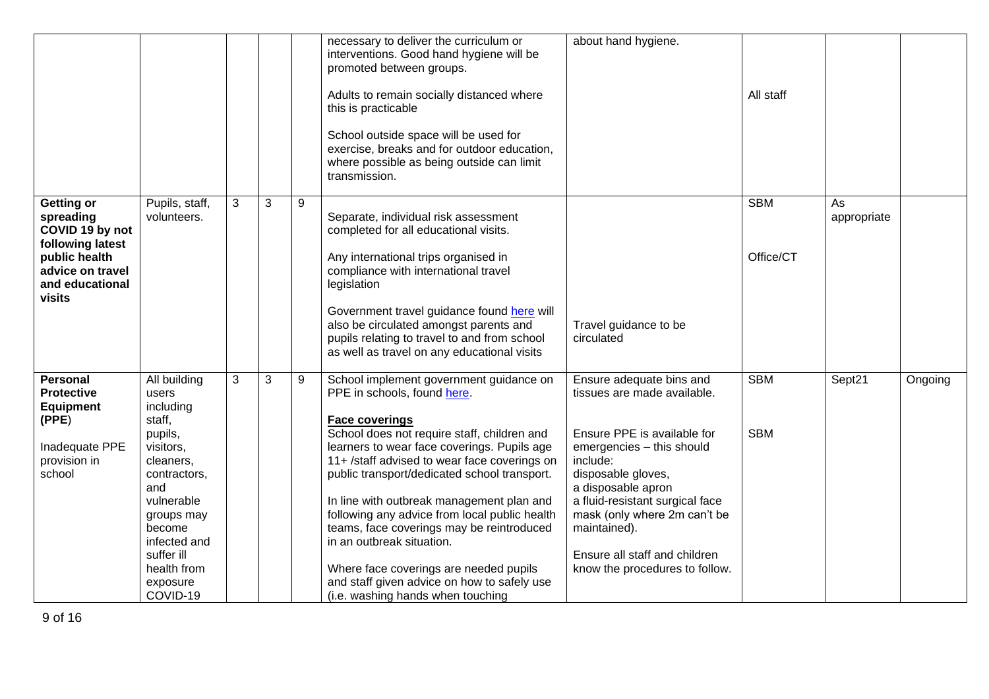|                                                                                                                                         |                                                                                                                                                                                                                     |   |   |   | necessary to deliver the curriculum or<br>interventions. Good hand hygiene will be<br>promoted between groups.<br>Adults to remain socially distanced where<br>this is practicable<br>School outside space will be used for<br>exercise, breaks and for outdoor education,<br>where possible as being outside can limit<br>transmission.                                                                                                                                                                                                                                                            | about hand hygiene.                                                                                                                                                                                                                                                                                                               | All staff                |                   |         |
|-----------------------------------------------------------------------------------------------------------------------------------------|---------------------------------------------------------------------------------------------------------------------------------------------------------------------------------------------------------------------|---|---|---|-----------------------------------------------------------------------------------------------------------------------------------------------------------------------------------------------------------------------------------------------------------------------------------------------------------------------------------------------------------------------------------------------------------------------------------------------------------------------------------------------------------------------------------------------------------------------------------------------------|-----------------------------------------------------------------------------------------------------------------------------------------------------------------------------------------------------------------------------------------------------------------------------------------------------------------------------------|--------------------------|-------------------|---------|
| <b>Getting or</b><br>spreading<br>COVID 19 by not<br>following latest<br>public health<br>advice on travel<br>and educational<br>visits | Pupils, staff,<br>volunteers.                                                                                                                                                                                       | 3 | 3 | 9 | Separate, individual risk assessment<br>completed for all educational visits.<br>Any international trips organised in<br>compliance with international travel<br>legislation<br>Government travel guidance found here will<br>also be circulated amongst parents and<br>pupils relating to travel to and from school<br>as well as travel on any educational visits                                                                                                                                                                                                                                 | Travel guidance to be<br>circulated                                                                                                                                                                                                                                                                                               | <b>SBM</b><br>Office/CT  | As<br>appropriate |         |
| <b>Personal</b><br><b>Protective</b><br><b>Equipment</b><br>(PPE)<br>Inadequate PPE<br>provision in<br>school                           | All building<br>users<br>including<br>staff,<br>pupils,<br>visitors,<br>cleaners,<br>contractors,<br>and<br>vulnerable<br>groups may<br>become<br>infected and<br>suffer ill<br>health from<br>exposure<br>COVID-19 | 3 | 3 | 9 | School implement government guidance on<br>PPE in schools, found here.<br><b>Face coverings</b><br>School does not require staff, children and<br>learners to wear face coverings. Pupils age<br>11+ /staff advised to wear face coverings on<br>public transport/dedicated school transport.<br>In line with outbreak management plan and<br>following any advice from local public health<br>teams, face coverings may be reintroduced<br>in an outbreak situation.<br>Where face coverings are needed pupils<br>and staff given advice on how to safely use<br>(i.e. washing hands when touching | Ensure adequate bins and<br>tissues are made available.<br>Ensure PPE is available for<br>emergencies - this should<br>include:<br>disposable gloves,<br>a disposable apron<br>a fluid-resistant surgical face<br>mask (only where 2m can't be<br>maintained).<br>Ensure all staff and children<br>know the procedures to follow. | <b>SBM</b><br><b>SBM</b> | Sept21            | Ongoing |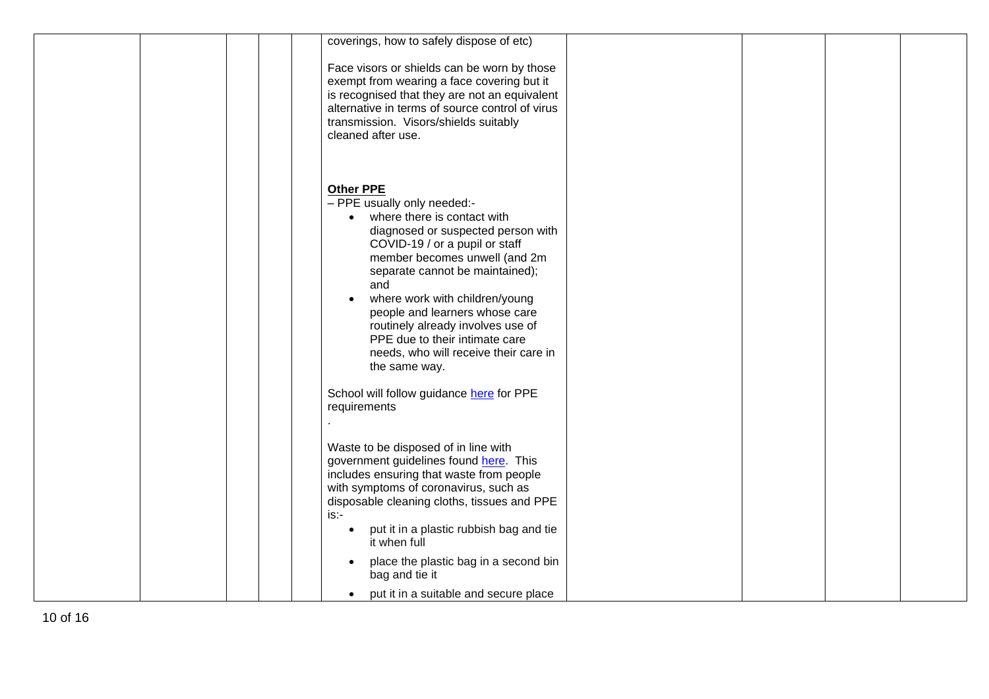| coverings, how to safely dispose of etc)<br>Face visors or shields can be worn by those<br>exempt from wearing a face covering but it<br>is recognised that they are not an equivalent<br>alternative in terms of source control of virus<br>transmission. Visors/shields suitably<br>cleaned after use. |
|----------------------------------------------------------------------------------------------------------------------------------------------------------------------------------------------------------------------------------------------------------------------------------------------------------|
| <b>Other PPE</b><br>- PPE usually only needed:-<br>where there is contact with<br>diagnosed or suspected person with<br>COVID-19 / or a pupil or staff<br>member becomes unwell (and 2m<br>separate cannot be maintained);<br>and                                                                        |
| where work with children/young<br>people and learners whose care<br>routinely already involves use of<br>PPE due to their intimate care<br>needs, who will receive their care in<br>the same way.                                                                                                        |
| School will follow guidance here for PPE<br>requirements                                                                                                                                                                                                                                                 |
| Waste to be disposed of in line with<br>government guidelines found here. This<br>includes ensuring that waste from people<br>with symptoms of coronavirus, such as<br>disposable cleaning cloths, tissues and PPE<br>is:-<br>put it in a plastic rubbish bag and tie<br>$\bullet$<br>it when full       |
| place the plastic bag in a second bin<br>$\bullet$<br>bag and tie it<br>put it in a suitable and secure place<br>$\bullet$                                                                                                                                                                               |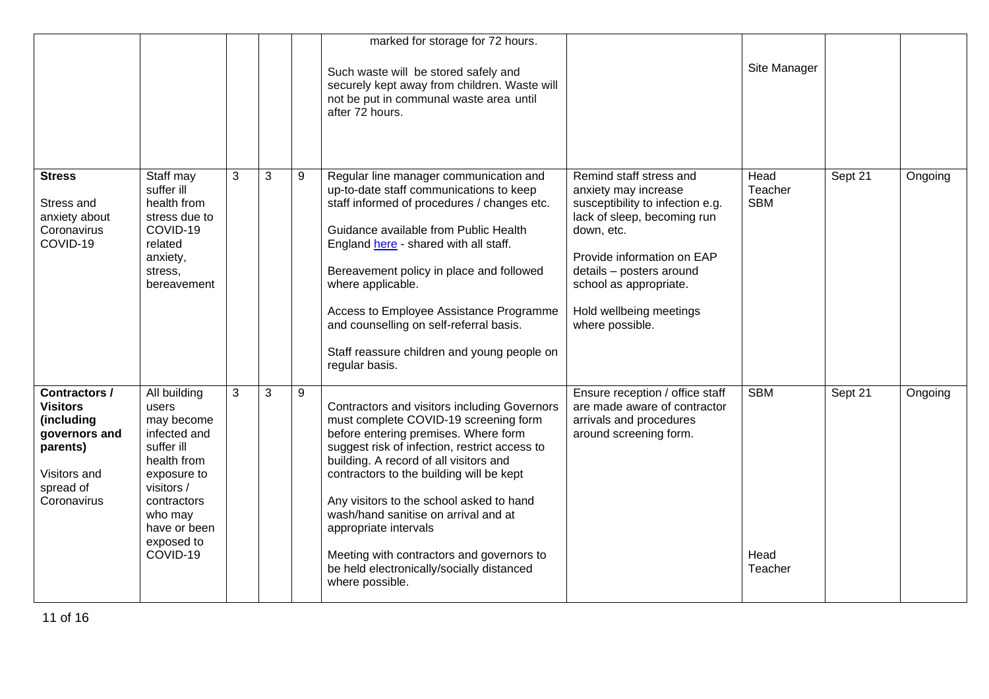|                                                                                                                                |                                                                                                                                                                                   |              |   |   | marked for storage for 72 hours.<br>Such waste will be stored safely and<br>securely kept away from children. Waste will<br>not be put in communal waste area until<br>after 72 hours.                                                                                                                                                                                                                                                                                                         |                                                                                                                                                                                                                                                                    | Site Manager                  |         |         |
|--------------------------------------------------------------------------------------------------------------------------------|-----------------------------------------------------------------------------------------------------------------------------------------------------------------------------------|--------------|---|---|------------------------------------------------------------------------------------------------------------------------------------------------------------------------------------------------------------------------------------------------------------------------------------------------------------------------------------------------------------------------------------------------------------------------------------------------------------------------------------------------|--------------------------------------------------------------------------------------------------------------------------------------------------------------------------------------------------------------------------------------------------------------------|-------------------------------|---------|---------|
| <b>Stress</b><br>Stress and<br>anxiety about<br>Coronavirus<br>COVID-19                                                        | Staff may<br>suffer ill<br>health from<br>stress due to<br>COVID-19<br>related<br>anxiety,<br>stress,<br>bereavement                                                              | 3            | 3 | 9 | Regular line manager communication and<br>up-to-date staff communications to keep<br>staff informed of procedures / changes etc.<br>Guidance available from Public Health<br>England here - shared with all staff.<br>Bereavement policy in place and followed<br>where applicable.<br>Access to Employee Assistance Programme<br>and counselling on self-referral basis.<br>Staff reassure children and young people on<br>regular basis.                                                     | Remind staff stress and<br>anxiety may increase<br>susceptibility to infection e.g.<br>lack of sleep, becoming run<br>down, etc.<br>Provide information on EAP<br>details - posters around<br>school as appropriate.<br>Hold wellbeing meetings<br>where possible. | Head<br>Teacher<br><b>SBM</b> | Sept 21 | Ongoing |
| <b>Contractors /</b><br><b>Visitors</b><br>(including<br>governors and<br>parents)<br>Visitors and<br>spread of<br>Coronavirus | All building<br>users<br>may become<br>infected and<br>suffer ill<br>health from<br>exposure to<br>visitors /<br>contractors<br>who may<br>have or been<br>exposed to<br>COVID-19 | $\mathbf{3}$ | 3 | 9 | Contractors and visitors including Governors<br>must complete COVID-19 screening form<br>before entering premises. Where form<br>suggest risk of infection, restrict access to<br>building. A record of all visitors and<br>contractors to the building will be kept<br>Any visitors to the school asked to hand<br>wash/hand sanitise on arrival and at<br>appropriate intervals<br>Meeting with contractors and governors to<br>be held electronically/socially distanced<br>where possible. | Ensure reception / office staff<br>are made aware of contractor<br>arrivals and procedures<br>around screening form.                                                                                                                                               | <b>SBM</b><br>Head<br>Teacher | Sept 21 | Ongoing |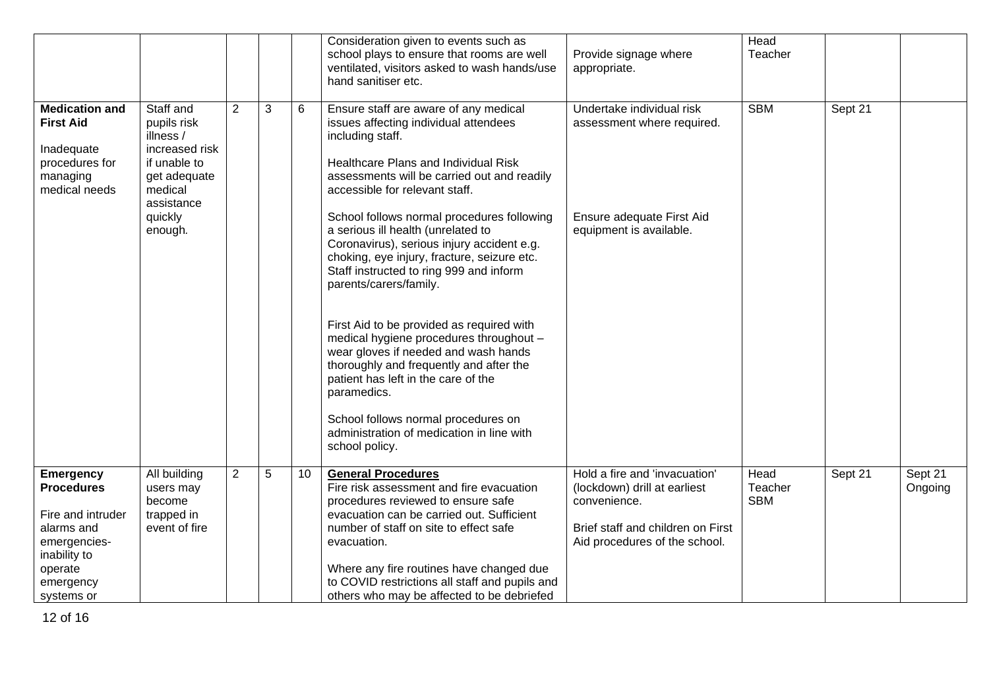|                                                                                                          |                                                                                                                  |                |   |    | Consideration given to events such as<br>school plays to ensure that rooms are well<br>ventilated, visitors asked to wash hands/use<br>hand sanitiser etc.                                                                                         | Provide signage where<br>appropriate.                                                                                                               | Head<br>Teacher               |         |                    |
|----------------------------------------------------------------------------------------------------------|------------------------------------------------------------------------------------------------------------------|----------------|---|----|----------------------------------------------------------------------------------------------------------------------------------------------------------------------------------------------------------------------------------------------------|-----------------------------------------------------------------------------------------------------------------------------------------------------|-------------------------------|---------|--------------------|
| <b>Medication and</b><br><b>First Aid</b><br>Inadequate<br>procedures for<br>managing<br>medical needs   | Staff and<br>pupils risk<br>illness /<br>increased risk<br>if unable to<br>get adequate<br>medical<br>assistance | 2              | 3 | 6  | Ensure staff are aware of any medical<br>issues affecting individual attendees<br>including staff.<br>Healthcare Plans and Individual Risk<br>assessments will be carried out and readily<br>accessible for relevant staff.                        | Undertake individual risk<br>assessment where required.                                                                                             | <b>SBM</b>                    | Sept 21 |                    |
|                                                                                                          | quickly<br>enough.                                                                                               |                |   |    | School follows normal procedures following<br>a serious ill health (unrelated to<br>Coronavirus), serious injury accident e.g.<br>choking, eye injury, fracture, seizure etc.<br>Staff instructed to ring 999 and inform<br>parents/carers/family. | Ensure adequate First Aid<br>equipment is available.                                                                                                |                               |         |                    |
|                                                                                                          |                                                                                                                  |                |   |    | First Aid to be provided as required with<br>medical hygiene procedures throughout -<br>wear gloves if needed and wash hands<br>thoroughly and frequently and after the<br>patient has left in the care of the<br>paramedics.                      |                                                                                                                                                     |                               |         |                    |
|                                                                                                          |                                                                                                                  |                |   |    | School follows normal procedures on<br>administration of medication in line with<br>school policy.                                                                                                                                                 |                                                                                                                                                     |                               |         |                    |
| <b>Emergency</b><br><b>Procedures</b><br>Fire and intruder<br>alarms and<br>emergencies-<br>inability to | All building<br>users may<br>become<br>trapped in<br>event of fire                                               | $\overline{2}$ | 5 | 10 | <b>General Procedures</b><br>Fire risk assessment and fire evacuation<br>procedures reviewed to ensure safe<br>evacuation can be carried out. Sufficient<br>number of staff on site to effect safe<br>evacuation.                                  | Hold a fire and 'invacuation'<br>(lockdown) drill at earliest<br>convenience.<br>Brief staff and children on First<br>Aid procedures of the school. | Head<br>Teacher<br><b>SBM</b> | Sept 21 | Sept 21<br>Ongoing |
| operate<br>emergency<br>systems or                                                                       |                                                                                                                  |                |   |    | Where any fire routines have changed due<br>to COVID restrictions all staff and pupils and<br>others who may be affected to be debriefed                                                                                                           |                                                                                                                                                     |                               |         |                    |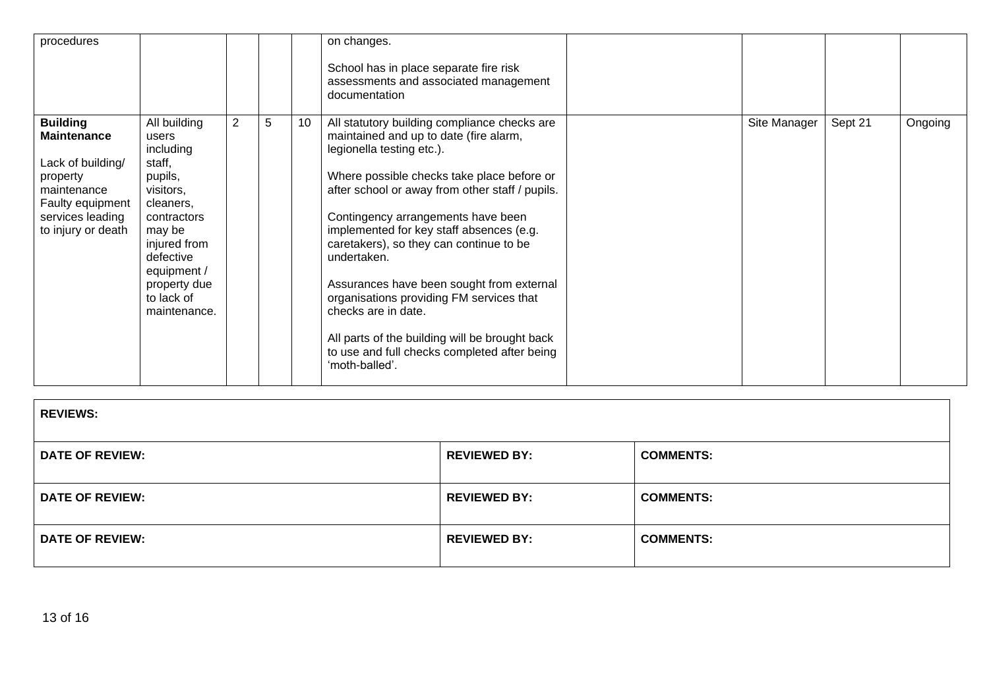| procedures                                                                                                                                          |                                                                                                                                                                                                      |                |   |    | on changes.<br>School has in place separate fire risk<br>assessments and associated management<br>documentation                                                                                                                                                                                                                                                                                                                                                                                                                                                                                      |              |         |         |
|-----------------------------------------------------------------------------------------------------------------------------------------------------|------------------------------------------------------------------------------------------------------------------------------------------------------------------------------------------------------|----------------|---|----|------------------------------------------------------------------------------------------------------------------------------------------------------------------------------------------------------------------------------------------------------------------------------------------------------------------------------------------------------------------------------------------------------------------------------------------------------------------------------------------------------------------------------------------------------------------------------------------------------|--------------|---------|---------|
| <b>Building</b><br><b>Maintenance</b><br>Lack of building/<br>property<br>maintenance<br>Faulty equipment<br>services leading<br>to injury or death | All building<br>users<br>including<br>staff,<br>pupils,<br>visitors,<br>cleaners,<br>contractors<br>may be<br>injured from<br>defective<br>equipment /<br>property due<br>to lack of<br>maintenance. | $\overline{2}$ | 5 | 10 | All statutory building compliance checks are<br>maintained and up to date (fire alarm,<br>legionella testing etc.).<br>Where possible checks take place before or<br>after school or away from other staff / pupils.<br>Contingency arrangements have been<br>implemented for key staff absences (e.g.<br>caretakers), so they can continue to be<br>undertaken.<br>Assurances have been sought from external<br>organisations providing FM services that<br>checks are in date.<br>All parts of the building will be brought back<br>to use and full checks completed after being<br>'moth-balled'. | Site Manager | Sept 21 | Ongoing |

| <b>REVIEWS:</b>        |                     |                  |
|------------------------|---------------------|------------------|
| <b>DATE OF REVIEW:</b> | <b>REVIEWED BY:</b> | <b>COMMENTS:</b> |
| <b>DATE OF REVIEW:</b> | <b>REVIEWED BY:</b> | <b>COMMENTS:</b> |
| <b>DATE OF REVIEW:</b> | <b>REVIEWED BY:</b> | <b>COMMENTS:</b> |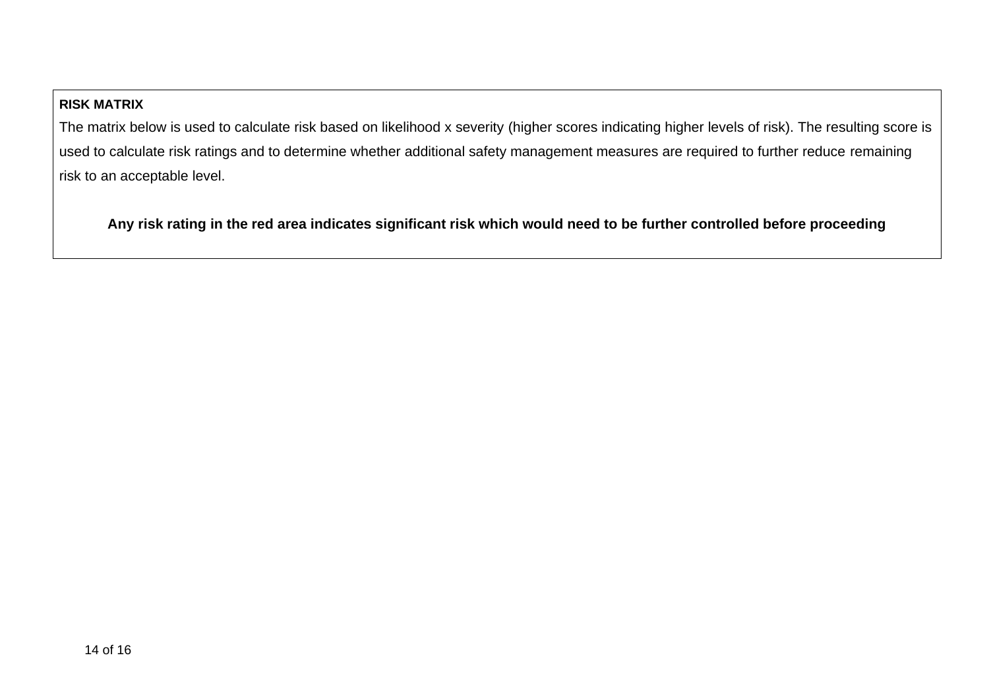# **RISK MATRIX**

The matrix below is used to calculate risk based on likelihood x severity (higher scores indicating higher levels of risk). The resulting score is used to calculate risk ratings and to determine whether additional safety management measures are required to further reduce remaining risk to an acceptable level.

**Any risk rating in the red area indicates significant risk which would need to be further controlled before proceeding**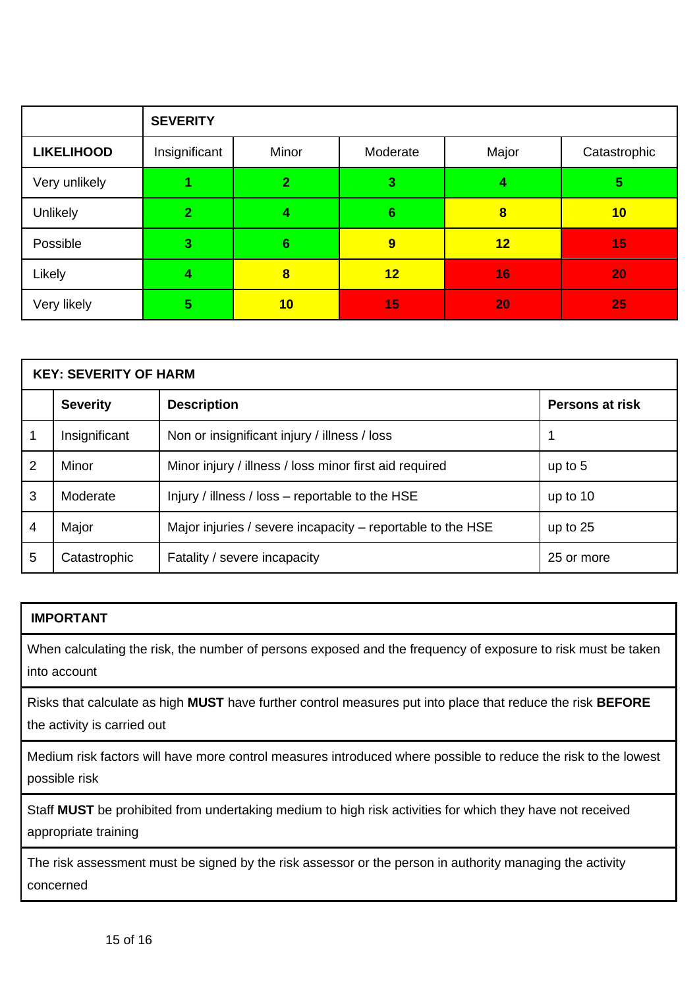|                   | <b>SEVERITY</b> |                |                |                         |              |  |  |
|-------------------|-----------------|----------------|----------------|-------------------------|--------------|--|--|
| <b>LIKELIHOOD</b> | Insignificant   | Minor          | Moderate       | Major                   | Catastrophic |  |  |
| Very unlikely     |                 | $\overline{2}$ | 3              | 4                       | 5            |  |  |
| Unlikely          |                 | 4              | $6\phantom{1}$ | $\overline{\mathbf{8}}$ | 10           |  |  |
| Possible          | 3               | $6\phantom{1}$ | 9              | 12                      | 15           |  |  |
| Likely            |                 | 8              | 12             | 16                      | 20           |  |  |
| Very likely       | 5               | 10             | 15             | 20                      | 25           |  |  |

| <b>KEY: SEVERITY OF HARM</b> |                 |                                                            |            |  |  |  |
|------------------------------|-----------------|------------------------------------------------------------|------------|--|--|--|
|                              | <b>Severity</b> | <b>Description</b>                                         |            |  |  |  |
|                              | Insignificant   | Non or insignificant injury / illness / loss               |            |  |  |  |
| 2                            | Minor           | Minor injury / illness / loss minor first aid required     | up to $5$  |  |  |  |
| 3                            | Moderate        | Injury / illness / loss - reportable to the HSE            | up to 10   |  |  |  |
| 4                            | Major           | Major injuries / severe incapacity - reportable to the HSE | up to $25$ |  |  |  |
| 5                            | Catastrophic    | Fatality / severe incapacity                               | 25 or more |  |  |  |

# **IMPORTANT**

When calculating the risk, the number of persons exposed and the frequency of exposure to risk must be taken into account

Risks that calculate as high **MUST** have further control measures put into place that reduce the risk **BEFORE** the activity is carried out

Medium risk factors will have more control measures introduced where possible to reduce the risk to the lowest possible risk

Staff **MUST** be prohibited from undertaking medium to high risk activities for which they have not received appropriate training

The risk assessment must be signed by the risk assessor or the person in authority managing the activity concerned